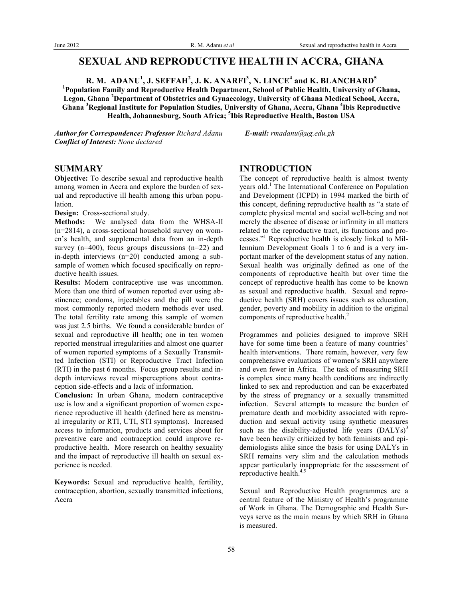# **SEXUAL AND REPRODUCTIVE HEALTH IN ACCRA, GHANA**

**R. M. ADANU<sup>1</sup> , J. SEFFAH<sup>2</sup> , J. K. ANARFI<sup>3</sup> , N. LINCE<sup>4</sup> and K. BLANCHARD<sup>5</sup>** <sup>1</sup> Population Family and Reproductive Health Department, School of Public Health, University of Ghana, **Legon, Ghana <sup>2</sup> Department of Obstetrics and Gynaecology, University of Ghana Medical School, Accra,** 

**Ghana <sup>3</sup> Regional Institute for Population Studies, University of Ghana, Accra, Ghana <sup>4</sup> Ibis Reproductive Health, Johannesburg, South Africa; <sup>5</sup> Ibis Reproductive Health, Boston USA**

*Author for Correspondence: Professor Richard Adanu E-mail: rmadanu@ug.edu.gh Conflict of Interest: None declared*

### **SUMMARY**

**Objective:** To describe sexual and reproductive health among women in Accra and explore the burden of sexual and reproductive ill health among this urban population.

**Design:** Cross-sectional study.

**Methods:** We analysed data from the WHSA-II (n=2814), a cross-sectional household survey on women's health, and supplemental data from an in-depth survey (n=400), focus groups discussions (n=22) and in-depth interviews (n=20) conducted among a subsample of women which focused specifically on reproductive health issues.

**Results:** Modern contraceptive use was uncommon. More than one third of women reported ever using abstinence; condoms, injectables and the pill were the most commonly reported modern methods ever used. The total fertility rate among this sample of women was just 2.5 births. We found a considerable burden of sexual and reproductive ill health; one in ten women reported menstrual irregularities and almost one quarter of women reported symptoms of a Sexually Transmitted Infection (STI) or Reproductive Tract Infection (RTI) in the past 6 months. Focus group results and indepth interviews reveal misperceptions about contraception side-effects and a lack of information.

**Conclusion:** In urban Ghana, modern contraceptive use is low and a significant proportion of women experience reproductive ill health (defined here as menstrual irregularity or RTI, UTI, STI symptoms). Increased access to information, products and services about for preventive care and contraception could improve reproductive health. More research on healthy sexuality and the impact of reproductive ill health on sexual experience is needed.

**Keywords:** Sexual and reproductive health, fertility, contraception, abortion, sexually transmitted infections, Accra

# **INTRODUCTION**

The concept of reproductive health is almost twenty years old.<sup>1</sup> The International Conference on Population and Development (ICPD) in 1994 marked the birth of this concept, defining reproductive health as "a state of complete physical mental and social well-being and not merely the absence of disease or infirmity in all matters related to the reproductive tract, its functions and processes."<sup>1</sup> Reproductive health is closely linked to Millennium Development Goals 1 to 6 and is a very important marker of the development status of any nation. Sexual health was originally defined as one of the components of reproductive health but over time the concept of reproductive health has come to be known as sexual and reproductive health. Sexual and reproductive health (SRH) covers issues such as education, gender, poverty and mobility in addition to the original components of reproductive health.<sup>2</sup>

Programmes and policies designed to improve SRH have for some time been a feature of many countries' health interventions. There remain, however, very few comprehensive evaluations of women's SRH anywhere and even fewer in Africa. The task of measuring SRH is complex since many health conditions are indirectly linked to sex and reproduction and can be exacerbated by the stress of pregnancy or a sexually transmitted infection. Several attempts to measure the burden of premature death and morbidity associated with reproduction and sexual activity using synthetic measures such as the disability-adjusted life years  $(DALYs)^3$ have been heavily criticized by both feminists and epidemiologists alike since the basis for using DALYs in SRH remains very slim and the calculation methods appear particularly inappropriate for the assessment of reproductive health.<sup>4,5</sup>

Sexual and Reproductive Health programmes are a central feature of the Ministry of Health's programme of Work in Ghana. The Demographic and Health Surveys serve as the main means by which SRH in Ghana is measured.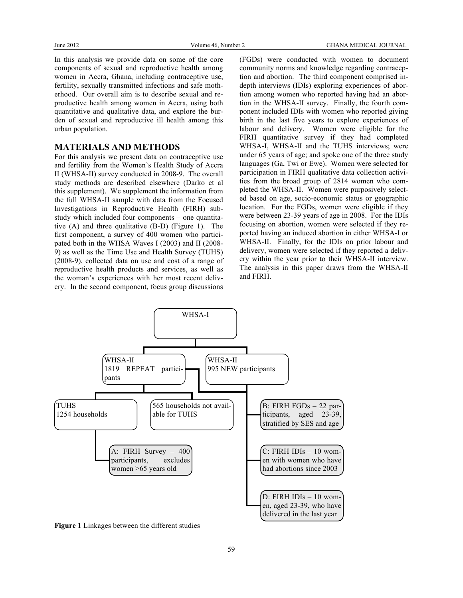In this analysis we provide data on some of the core components of sexual and reproductive health among women in Accra, Ghana, including contraceptive use, fertility, sexually transmitted infections and safe motherhood. Our overall aim is to describe sexual and reproductive health among women in Accra, using both quantitative and qualitative data, and explore the burden of sexual and reproductive ill health among this urban population.

## **MATERIALS AND METHODS**

For this analysis we present data on contraceptive use and fertility from the Women's Health Study of Accra II (WHSA-II) survey conducted in 2008-9. The overall study methods are described elsewhere (Darko et al this supplement). We supplement the information from the full WHSA-II sample with data from the Focused Investigations in Reproductive Health (FIRH) substudy which included four components – one quantitative (A) and three qualitative (B-D) (Figure 1). The first component, a survey of 400 women who participated both in the WHSA Waves I (2003) and II (2008- 9) as well as the Time Use and Health Survey (TUHS) (2008-9), collected data on use and cost of a range of reproductive health products and services, as well as the woman's experiences with her most recent delivery. In the second component, focus group discussions

(FGDs) were conducted with women to document community norms and knowledge regarding contraception and abortion. The third component comprised indepth interviews (IDIs) exploring experiences of abortion among women who reported having had an abortion in the WHSA-II survey. Finally, the fourth component included IDIs with women who reported giving birth in the last five years to explore experiences of labour and delivery. Women were eligible for the FIRH quantitative survey if they had completed WHSA-I, WHSA-II and the TUHS interviews; were under 65 years of age; and spoke one of the three study languages (Ga, Twi or Ewe). Women were selected for participation in FIRH qualitative data collection activities from the broad group of 2814 women who completed the WHSA-II. Women were purposively selected based on age, socio-economic status or geographic location. For the FGDs, women were eligible if they were between 23-39 years of age in 2008. For the IDIs focusing on abortion, women were selected if they reported having an induced abortion in either WHSA-I or WHSA-II. Finally, for the IDIs on prior labour and delivery, women were selected if they reported a delivery within the year prior to their WHSA-II interview. The analysis in this paper draws from the WHSA-II and FIRH.



**Figure 1** Linkages between the different studies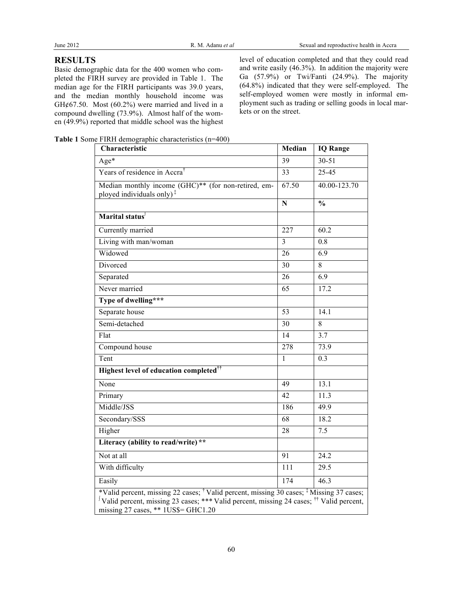# **RESULTS**

Basic demographic data for the 400 women who completed the FIRH survey are provided in Table 1. The median age for the FIRH participants was 39.0 years, and the median monthly household income was GH $\phi$ 67.50. Most (60.2%) were married and lived in a compound dwelling (73.9%). Almost half of the women (49.9%) reported that middle school was the highest level of education completed and that they could read and write easily (46.3%). In addition the majority were Ga (57.9%) or Twi/Fanti (24.9%). The majority (64.8%) indicated that they were self-employed. The self-employed women were mostly in informal employment such as trading or selling goods in local markets or on the street.

**Table 1** Some FIRH demographic characteristics (n=400)

| Characteristic                                                                                                                                                                                                                                              | Median                  | <b>IQ Range</b> |  |  |  |
|-------------------------------------------------------------------------------------------------------------------------------------------------------------------------------------------------------------------------------------------------------------|-------------------------|-----------------|--|--|--|
| $Age*$                                                                                                                                                                                                                                                      | 39                      | $30 - 51$       |  |  |  |
| Years of residence in Accra <sup>†</sup>                                                                                                                                                                                                                    | 33                      | 25-45           |  |  |  |
| Median monthly income $(\widehat{GHC})^{**}$ (for non-retired, em-<br>ployed individuals only) <sup>‡</sup>                                                                                                                                                 | 67.50                   | 40.00-123.70    |  |  |  |
|                                                                                                                                                                                                                                                             | $\overline{\mathbf{N}}$ | $\frac{1}{2}$   |  |  |  |
| Marital status                                                                                                                                                                                                                                              |                         |                 |  |  |  |
| Currently married                                                                                                                                                                                                                                           | 227                     | 60.2            |  |  |  |
| Living with man/woman                                                                                                                                                                                                                                       | 3                       | 0.8             |  |  |  |
| Widowed                                                                                                                                                                                                                                                     | 26                      | 6.9             |  |  |  |
| Divorced                                                                                                                                                                                                                                                    | 30                      | 8               |  |  |  |
| Separated                                                                                                                                                                                                                                                   | 26                      | 6.9             |  |  |  |
| Never married                                                                                                                                                                                                                                               | 65                      | 17.2            |  |  |  |
| Type of dwelling***                                                                                                                                                                                                                                         |                         |                 |  |  |  |
| Separate house                                                                                                                                                                                                                                              | 53                      | 14.1            |  |  |  |
| Semi-detached                                                                                                                                                                                                                                               | 30                      | 8               |  |  |  |
| Flat                                                                                                                                                                                                                                                        | 14                      | 3.7             |  |  |  |
| Compound house                                                                                                                                                                                                                                              | $\overline{278}$        | 73.9            |  |  |  |
| Tent                                                                                                                                                                                                                                                        | 1                       | 0.3             |  |  |  |
| Highest level of education completed <sup>††</sup>                                                                                                                                                                                                          |                         |                 |  |  |  |
| None                                                                                                                                                                                                                                                        | 49                      | 13.1            |  |  |  |
| Primary                                                                                                                                                                                                                                                     | 42                      | 11.3            |  |  |  |
| Middle/JSS                                                                                                                                                                                                                                                  | 186                     | 49.9            |  |  |  |
| Secondary/SSS                                                                                                                                                                                                                                               | 68                      | 18.2            |  |  |  |
| Higher                                                                                                                                                                                                                                                      | 28                      | 7.5             |  |  |  |
| Literacy (ability to read/write) **                                                                                                                                                                                                                         |                         |                 |  |  |  |
| Not at all                                                                                                                                                                                                                                                  | 91                      | 24.2            |  |  |  |
| With difficulty                                                                                                                                                                                                                                             | 111                     | 29.5            |  |  |  |
| Easily                                                                                                                                                                                                                                                      | 174                     | 46.3            |  |  |  |
| *Valid percent, missing 22 cases; <sup>†</sup> Valid percent, missing 30 cases; <sup>‡</sup> Missing 37 cases;<br>Valid percent, missing 23 cases; *** Valid percent, missing 24 cases; <sup>††</sup> Valid percent,<br>missing 27 cases, ** 1US\$= GHC1.20 |                         |                 |  |  |  |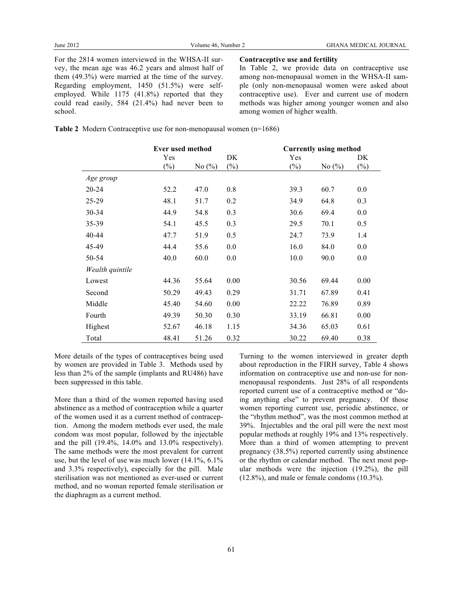For the 2814 women interviewed in the WHSA-II survey, the mean age was 46.2 years and almost half of them (49.3%) were married at the time of the survey. Regarding employment, 1450 (51.5%) were selfemployed. While 1175 (41.8%) reported that they could read easily, 584 (21.4%) had never been to school.

**Contraceptive use and fertility**

In Table 2, we provide data on contraceptive use among non-menopausal women in the WHSA-II sample (only non-menopausal women were asked about contraceptive use). Ever and current use of modern methods was higher among younger women and also among women of higher wealth.

| <b>Table 2</b> Modern Contraceptive use for non-menopausal women $(n=1686)$ |  |  |  |  |  |  |
|-----------------------------------------------------------------------------|--|--|--|--|--|--|
|-----------------------------------------------------------------------------|--|--|--|--|--|--|

|                 | <b>Ever used method</b> |            | <b>Currently using method</b> |        |           |        |
|-----------------|-------------------------|------------|-------------------------------|--------|-----------|--------|
|                 | Yes                     |            | DK                            | Yes    |           | DK     |
|                 | $(\%)$                  | No $(\% )$ | $(\%)$                        | $(\%)$ | No $(\%)$ | $(\%)$ |
| Age group       |                         |            |                               |        |           |        |
| 20-24           | 52.2                    | 47.0       | 0.8                           | 39.3   | 60.7      | 0.0    |
| 25-29           | 48.1                    | 51.7       | 0.2                           | 34.9   | 64.8      | 0.3    |
| 30-34           | 44.9                    | 54.8       | 0.3                           | 30.6   | 69.4      | 0.0    |
| 35-39           | 54.1                    | 45.5       | 0.3                           | 29.5   | 70.1      | 0.5    |
| 40-44           | 47.7                    | 51.9       | 0.5                           | 24.7   | 73.9      | 1.4    |
| 45-49           | 44.4                    | 55.6       | 0.0                           | 16.0   | 84.0      | 0.0    |
| 50-54           | 40.0                    | 60.0       | 0.0                           | 10.0   | 90.0      | 0.0    |
| Wealth quintile |                         |            |                               |        |           |        |
| Lowest          | 44.36                   | 55.64      | 0.00                          | 30.56  | 69.44     | 0.00   |
| Second          | 50.29                   | 49.43      | 0.29                          | 31.71  | 67.89     | 0.41   |
| Middle          | 45.40                   | 54.60      | 0.00                          | 22.22  | 76.89     | 0.89   |
| Fourth          | 49.39                   | 50.30      | 0.30                          | 33.19  | 66.81     | 0.00   |
| Highest         | 52.67                   | 46.18      | 1.15                          | 34.36  | 65.03     | 0.61   |
| Total           | 48.41                   | 51.26      | 0.32                          | 30.22  | 69.40     | 0.38   |

More details of the types of contraceptives being used by women are provided in Table 3. Methods used by less than 2% of the sample (implants and RU486) have been suppressed in this table.

More than a third of the women reported having used abstinence as a method of contraception while a quarter of the women used it as a current method of contraception. Among the modern methods ever used, the male condom was most popular, followed by the injectable and the pill (19.4%, 14.0% and 13.0% respectively). The same methods were the most prevalent for current use, but the level of use was much lower (14.1%, 6.1% and 3.3% respectively), especially for the pill. Male sterilisation was not mentioned as ever-used or current method, and no woman reported female sterilisation or the diaphragm as a current method.

Turning to the women interviewed in greater depth about reproduction in the FIRH survey, Table 4 shows information on contraceptive use and non-use for nonmenopausal respondents. Just 28% of all respondents reported current use of a contraceptive method or "doing anything else" to prevent pregnancy. Of those women reporting current use, periodic abstinence, or the "rhythm method", was the most common method at 39%. Injectables and the oral pill were the next most popular methods at roughly 19% and 13% respectively. More than a third of women attempting to prevent pregnancy (38.5%) reported currently using abstinence or the rhythm or calendar method. The next most popular methods were the injection (19.2%), the pill (12.8%), and male or female condoms (10.3%).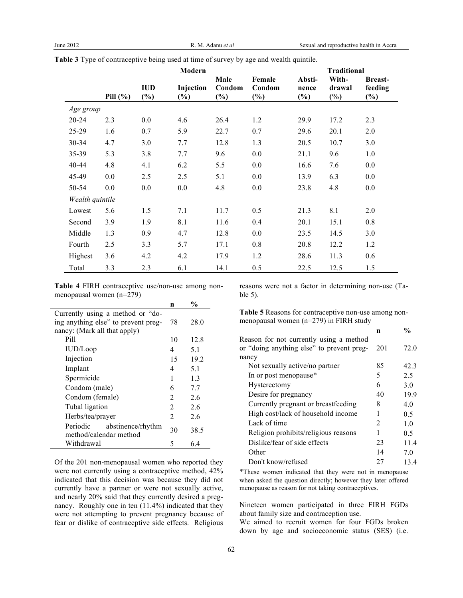|                 |              |                      | Modern              |                          |                            |                           | <b>Traditional</b>        |                                     |
|-----------------|--------------|----------------------|---------------------|--------------------------|----------------------------|---------------------------|---------------------------|-------------------------------------|
|                 | Pill $(\% )$ | <b>IUD</b><br>$(\%)$ | Injection<br>$(\%)$ | Male<br>Condom<br>$(\%)$ | Female<br>Condom<br>$(\%)$ | Absti-<br>nence<br>$(\%)$ | With-<br>drawal<br>$(\%)$ | <b>Breast-</b><br>feeding<br>$(\%)$ |
| Age group       |              |                      |                     |                          |                            |                           |                           |                                     |
| $20 - 24$       | 2.3          | 0.0                  | 4.6                 | 26.4                     | 1.2                        | 29.9                      | 17.2                      | 2.3                                 |
| 25-29           | 1.6          | 0.7                  | 5.9                 | 22.7                     | 0.7                        | 29.6                      | 20.1                      | 2.0                                 |
| 30-34           | 4.7          | 3.0                  | 7.7                 | 12.8                     | 1.3                        | 20.5                      | 10.7                      | 3.0                                 |
| 35-39           | 5.3          | 3.8                  | 7.7                 | 9.6                      | 0.0                        | 21.1                      | 9.6                       | 1.0                                 |
| 40-44           | 4.8          | 4.1                  | 6.2                 | 5.5                      | 0.0                        | 16.6                      | 7.6                       | 0.0                                 |
| 45-49           | 0.0          | 2.5                  | 2.5                 | 5.1                      | 0.0                        | 13.9                      | 6.3                       | 0.0                                 |
| 50-54           | 0.0          | 0.0                  | 0.0                 | 4.8                      | 0.0                        | 23.8                      | 4.8                       | 0.0                                 |
| Wealth quintile |              |                      |                     |                          |                            |                           |                           |                                     |
| Lowest          | 5.6          | 1.5                  | 7.1                 | 11.7                     | 0.5                        | 21.3                      | 8.1                       | 2.0                                 |
| Second          | 3.9          | 1.9                  | 8.1                 | 11.6                     | 0.4                        | 20.1                      | 15.1                      | 0.8                                 |
| Middle          | 1.3          | 0.9                  | 4.7                 | 12.8                     | 0.0                        | 23.5                      | 14.5                      | 3.0                                 |
| Fourth          | 2.5          | 3.3                  | 5.7                 | 17.1                     | 0.8                        | 20.8                      | 12.2                      | 1.2                                 |
| Highest         | 3.6          | 4.2                  | 4.2                 | 17.9                     | 1.2                        | 28.6                      | 11.3                      | 0.6                                 |
| Total           | 3.3          | 2.3                  | 6.1                 | 14.1                     | 0.5                        | 22.5                      | 12.5                      | 1.5                                 |

**Table 3** Type of contraceptive being used at time of survey by age and wealth quintile.

**Table 4** FIRH contraceptive use/non-use among nonmenopausal women (n=279)

|                                                         | n              | $\frac{0}{0}$ |
|---------------------------------------------------------|----------------|---------------|
| Currently using a method or "do-                        |                |               |
| ing anything else" to prevent preg-                     | 78             | 28.0          |
| nancy: (Mark all that apply)                            |                |               |
| Pill                                                    | 10             | 12.8          |
| IUD/Loop                                                | 4              | 5.1           |
| Injection                                               | 15             | 19.2          |
| Implant                                                 | 4              | 5.1           |
| Spermicide                                              | 1              | 1.3           |
| Condom (male)                                           | 6              | 7.7           |
| Condom (female)                                         | 2              | 2.6           |
| Tubal ligation                                          | 2              | 2.6           |
| Herbs/tea/prayer                                        | $\overline{2}$ | 26            |
| Periodic<br>abstinence/rhythm<br>method/calendar method | 30             | 38.5          |
| Withdrawal                                              | 5              | 6.4           |

Of the 201 non-menopausal women who reported they were not currently using a contraceptive method, 42% indicated that this decision was because they did not currently have a partner or were not sexually active, and nearly 20% said that they currently desired a pregnancy. Roughly one in ten (11.4%) indicated that they were not attempting to prevent pregnancy because of fear or dislike of contraceptive side effects. Religious

reasons were not a factor in determining non-use (Table 5).

**Table 5** Reasons for contraceptive non-use among nonmenopausal women (n=279) in FIRH study

|                                           | n   | %              |
|-------------------------------------------|-----|----------------|
| Reason for not currently using a method   |     |                |
| or "doing anything else" to prevent preg- | 201 | 72.0           |
| nancy                                     |     |                |
| Not sexually active/no partner            | 85  | 42.3           |
| In or post menopause*                     | 5   | 2.5            |
| Hysterectomy                              | 6   | 3.0            |
| Desire for pregnancy                      | 40  | 19.9           |
| Currently pregnant or breastfeeding       | 8   | 40             |
| High cost/lack of household income        |     | 0.5            |
| Lack of time                              | 2   | 1 <sub>0</sub> |
| Religion prohibits/religious reasons      | 1   | 0.5            |
| Dislike/fear of side effects              | 23  | 114            |
| Other                                     | 14  | 70             |
| Don't know/refused                        | 27  | 13.4           |

\*These women indicated that they were not in menopause when asked the question directly; however they later offered menopause as reason for not taking contraceptives.

Nineteen women participated in three FIRH FGDs about family size and contraception use.

We aimed to recruit women for four FGDs broken down by age and socioeconomic status (SES) (i.e.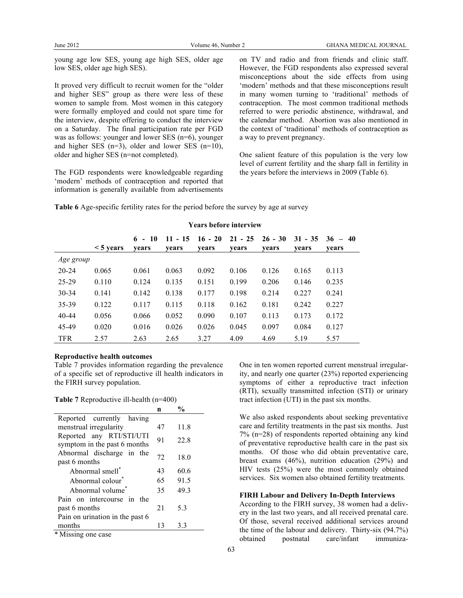young age low SES, young age high SES, older age low SES, older age high SES).

It proved very difficult to recruit women for the "older and higher SES" group as there were less of these women to sample from. Most women in this category were formally employed and could not spare time for the interview, despite offering to conduct the interview on a Saturday. The final participation rate per FGD was as follows: younger and lower SES (n=6), younger and higher SES (n=3), older and lower SES (n=10), older and higher SES (n=not completed).

The FGD respondents were knowledgeable regarding 'modern' methods of contraception and reported that information is generally available from advertisements

on TV and radio and from friends and clinic staff. However, the FGD respondents also expressed several misconceptions about the side effects from using 'modern' methods and that these misconceptions result in many women turning to 'traditional' methods of contraception. The most common traditional methods referred to were periodic abstinence, withdrawal, and the calendar method. Abortion was also mentioned in the context of 'traditional' methods of contraception as a way to prevent pregnancy.

One salient feature of this population is the very low level of current fertility and the sharp fall in fertility in the years before the interviews in 2009 (Table 6).

|            | <b>TEATS DETOLE HILEFVIEW</b> |                   |                    |                    |                    |                    |                    |                    |
|------------|-------------------------------|-------------------|--------------------|--------------------|--------------------|--------------------|--------------------|--------------------|
|            | $\leq$ 5 years                | $6 - 10$<br>vears | $11 - 15$<br>years | $16 - 20$<br>years | $21 - 25$<br>years | $26 - 30$<br>years | $31 - 35$<br>years | $36 - 40$<br>years |
| Age group  |                               |                   |                    |                    |                    |                    |                    |                    |
| $20 - 24$  | 0.065                         | 0.061             | 0.063              | 0.092              | 0.106              | 0.126              | 0.165              | 0.113              |
| 25-29      | 0.110                         | 0.124             | 0.135              | 0.151              | 0.199              | 0.206              | 0.146              | 0.235              |
| $30 - 34$  | 0.141                         | 0.142             | 0.138              | 0.177              | 0.198              | 0.214              | 0.227              | 0.241              |
| 35-39      | 0.122                         | 0.117             | 0.115              | 0.118              | 0.162              | 0.181              | 0.242              | 0.227              |
| $40 - 44$  | 0.056                         | 0.066             | 0.052              | 0.090              | 0.107              | 0.113              | 0.173              | 0.172              |
| 45-49      | 0.020                         | 0.016             | 0.026              | 0.026              | 0.045              | 0.097              | 0.084              | 0.127              |
| <b>TFR</b> | 2.57                          | 2.63              | 2.65               | 3.27               | 4.09               | 4.69               | 5.19               | 5.57               |

**Years before interview**

**Table 6** Age-specific fertility rates for the period before the survey by age at survey

### **Reproductive health outcomes**

Table 7 provides information regarding the prevalence of a specific set of reproductive ill health indicators in the FIRH survey population.

|  | Table 7 Reproductive ill-health $(n=400)$ |  |
|--|-------------------------------------------|--|
|--|-------------------------------------------|--|

|                                                          | n  | $\frac{0}{0}$ |
|----------------------------------------------------------|----|---------------|
| Reported currently having                                |    |               |
| menstrual irregularity                                   | 47 | 11.8          |
| Reported any RTI/STI/UTI<br>symptom in the past 6 months | 91 | 22.8          |
| Abnormal discharge in the<br>past 6 months               | 72 | 18.0          |
| Abnormal smell <sup>®</sup>                              | 43 | 60.6          |
| Abnormal colour                                          | 65 | 91.5          |
| Abnormal volume                                          | 35 | 49.3          |
| Pain on intercourse in the                               |    |               |
| past 6 months                                            | 21 | 53            |
| Pain on urination in the past 6                          |    |               |
| months                                                   | 13 | 3.3           |
| $*$ Missing and aggo                                     |    |               |

Missing one case

One in ten women reported current menstrual irregularity, and nearly one quarter (23%) reported experiencing symptoms of either a reproductive tract infection (RTI), sexually transmitted infection (STI) or urinary tract infection (UTI) in the past six months.

We also asked respondents about seeking preventative care and fertility treatments in the past six months. Just 7% (n=28) of respondents reported obtaining any kind of preventative reproductive health care in the past six months. Of those who did obtain preventative care, breast exams (46%), nutrition education (29%) and HIV tests (25%) were the most commonly obtained services. Six women also obtained fertility treatments.

#### **FIRH Labour and Delivery In-Depth Interviews**

According to the FIRH survey, 38 women had a delivery in the last two years, and all received prenatal care. Of those, several received additional services around the time of the labour and delivery. Thirty-six (94.7%) obtained postnatal care/infant immuniza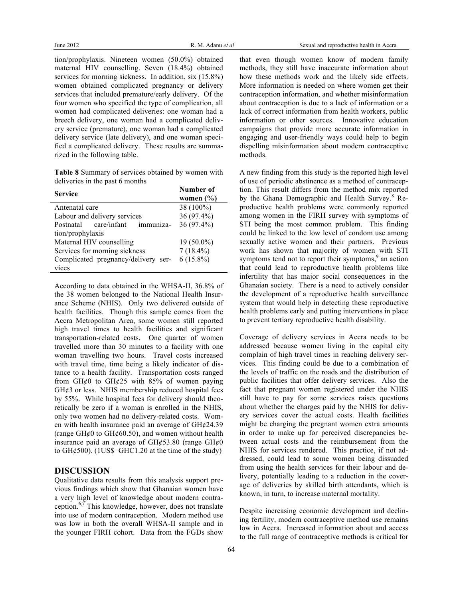tion/prophylaxis. Nineteen women (50.0%) obtained maternal HIV counselling. Seven (18.4%) obtained services for morning sickness. In addition, six (15.8%) women obtained complicated pregnancy or delivery services that included premature/early delivery. Of the four women who specified the type of complication, all women had complicated deliveries: one woman had a breech delivery, one woman had a complicated delivery service (premature), one woman had a complicated delivery service (late delivery), and one woman specified a complicated delivery. These results are summarized in the following table.

**Table 8** Summary of services obtained by women with deliveries in the past 6 months

| <b>Service</b>                        | Number of     |
|---------------------------------------|---------------|
|                                       | women $(\% )$ |
| Antenatal care                        | 38 (100%)     |
| Labour and delivery services          | 36 (97.4%)    |
| care/infant<br>immuniza-<br>Postnatal | 36 (97.4%)    |
| tion/prophylaxis                      |               |
| Maternal HIV counselling              | $19(50.0\%)$  |
| Services for morning sickness         | $7(18.4\%)$   |
| Complicated pregnancy/delivery ser-   | $6(15.8\%)$   |
| vices                                 |               |

According to data obtained in the WHSA-II, 36.8% of the 38 women belonged to the National Health Insurance Scheme (NHIS). Only two delivered outside of health facilities. Though this sample comes from the Accra Metropolitan Area, some women still reported high travel times to health facilities and significant transportation-related costs. One quarter of women travelled more than 30 minutes to a facility with one woman travelling two hours. Travel costs increased with travel time, time being a likely indicator of distance to a health facility. Transportation costs ranged from GH $\phi$ 0 to GH $\phi$ 25 with 85% of women paying  $GH$  $¢3$  or less. NHIS membership reduced hospital fees by 55%. While hospital fees for delivery should theoretically be zero if a woman is enrolled in the NHIS, only two women had no delivery-related costs. Women with health insurance paid an average of  $GH¢24.39$ (range GH $\epsilon$ 0 to GH $\epsilon$ 60.50), and women without health insurance paid an average of  $GH\&53.80$  (range  $GH\&0$ to  $GH¢500$ . (1US\$=GHC1.20 at the time of the study)

### **DISCUSSION**

Qualitative data results from this analysis support previous findings which show that Ghanaian women have a very high level of knowledge about modern contraception. $6,7$  This knowledge, however, does not translate into use of modern contraception. Modern method use was low in both the overall WHSA-II sample and in the younger FIRH cohort. Data from the FGDs show

that even though women know of modern family methods, they still have inaccurate information about how these methods work and the likely side effects. More information is needed on where women get their contraception information, and whether misinformation about contraception is due to a lack of information or a lack of correct information from health workers, public information or other sources. Innovative education campaigns that provide more accurate information in engaging and user-friendly ways could help to begin dispelling misinformation about modern contraceptive methods.

A new finding from this study is the reported high level of use of periodic abstinence as a method of contraception. This result differs from the method mix reported by the Ghana Demographic and Health Survey.<sup>8</sup> Reproductive health problems were commonly reported among women in the FIRH survey with symptoms of STI being the most common problem. This finding could be linked to the low level of condom use among sexually active women and their partners. Previous work has shown that majority of women with STI symptoms tend not to report their symptoms.<sup>9</sup> an action that could lead to reproductive health problems like infertility that has major social consequences in the Ghanaian society. There is a need to actively consider the development of a reproductive health surveillance system that would help in detecting these reproductive health problems early and putting interventions in place to prevent tertiary reproductive health disability.

Coverage of delivery services in Accra needs to be addressed because women living in the capital city complain of high travel times in reaching delivery services. This finding could be due to a combination of the levels of traffic on the roads and the distribution of public facilities that offer delivery services. Also the fact that pregnant women registered under the NHIS still have to pay for some services raises questions about whether the charges paid by the NHIS for delivery services cover the actual costs. Health facilities might be charging the pregnant women extra amounts in order to make up for perceived discrepancies between actual costs and the reimbursement from the NHIS for services rendered. This practice, if not addressed, could lead to some women being dissuaded from using the health services for their labour and delivery, potentially leading to a reduction in the coverage of deliveries by skilled birth attendants, which is known, in turn, to increase maternal mortality.

Despite increasing economic development and declining fertility, modern contraceptive method use remains low in Accra. Increased information about and access to the full range of contraceptive methods is critical for